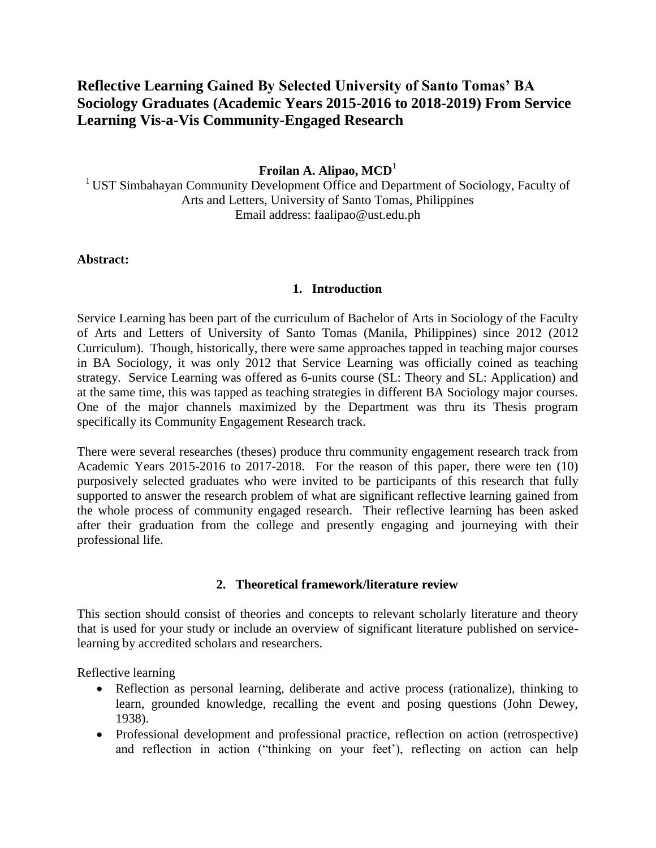# **Reflective Learning Gained By Selected University of Santo Tomas' BA Sociology Graduates (Academic Years 2015-2016 to 2018-2019) From Service Learning Vis-a-Vis Community-Engaged Research**

## **Froilan A. Alipao, MCD**<sup>1</sup>

<sup>1</sup> UST Simbahayan Community Development Office and Department of Sociology, Faculty of Arts and Letters, University of Santo Tomas, Philippines Email address: faalipao@ust.edu.ph

#### **Abstract:**

### **1. Introduction**

Service Learning has been part of the curriculum of Bachelor of Arts in Sociology of the Faculty of Arts and Letters of University of Santo Tomas (Manila, Philippines) since 2012 (2012 Curriculum). Though, historically, there were same approaches tapped in teaching major courses in BA Sociology, it was only 2012 that Service Learning was officially coined as teaching strategy. Service Learning was offered as 6-units course (SL: Theory and SL: Application) and at the same time, this was tapped as teaching strategies in different BA Sociology major courses. One of the major channels maximized by the Department was thru its Thesis program specifically its Community Engagement Research track.

There were several researches (theses) produce thru community engagement research track from Academic Years 2015-2016 to 2017-2018. For the reason of this paper, there were ten (10) purposively selected graduates who were invited to be participants of this research that fully supported to answer the research problem of what are significant reflective learning gained from the whole process of community engaged research. Their reflective learning has been asked after their graduation from the college and presently engaging and journeying with their professional life.

### **2. Theoretical framework/literature review**

This section should consist of theories and concepts to relevant scholarly literature and theory that is used for your study or include an overview of significant literature published on servicelearning by accredited scholars and researchers.

Reflective learning

- Reflection as personal learning, deliberate and active process (rationalize), thinking to learn, grounded knowledge, recalling the event and posing questions (John Dewey, 1938).
- Professional development and professional practice, reflection on action (retrospective) and reflection in action ("thinking on your feet"), reflecting on action can help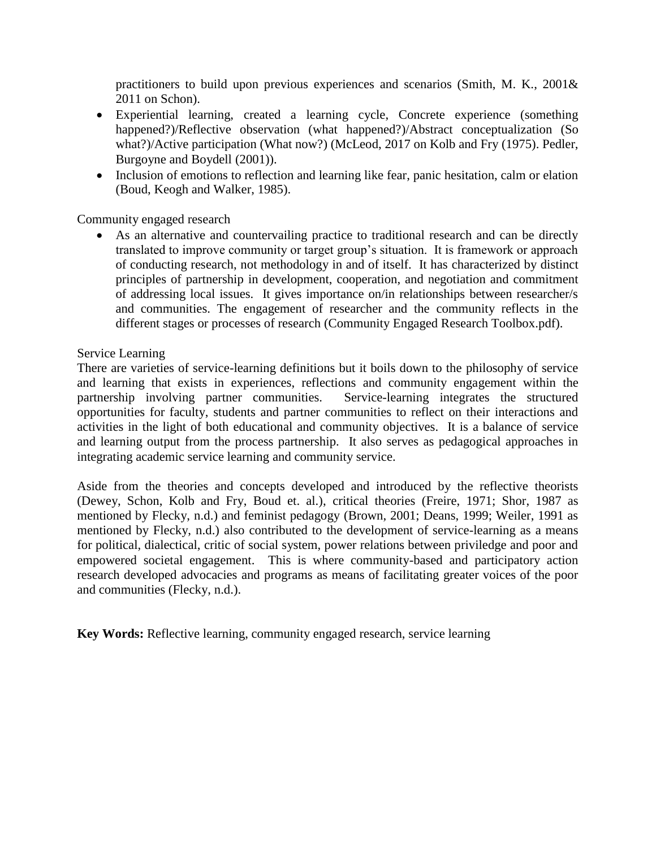practitioners to build upon previous experiences and scenarios (Smith, M. K.,  $2001\&$ 2011 on Schon).

- Experiential learning, created a learning cycle, Concrete experience (something happened?)/Reflective observation (what happened?)/Abstract conceptualization (So what?)/Active participation (What now?) (McLeod, 2017 on Kolb and Fry (1975). Pedler, Burgoyne and Boydell (2001)).
- Inclusion of emotions to reflection and learning like fear, panic hesitation, calm or elation (Boud, Keogh and Walker, 1985).

Community engaged research

 As an alternative and countervailing practice to traditional research and can be directly translated to improve community or target group"s situation. It is framework or approach of conducting research, not methodology in and of itself. It has characterized by distinct principles of partnership in development, cooperation, and negotiation and commitment of addressing local issues. It gives importance on/in relationships between researcher/s and communities. The engagement of researcher and the community reflects in the different stages or processes of research (Community Engaged Research Toolbox.pdf).

## Service Learning

There are varieties of service-learning definitions but it boils down to the philosophy of service and learning that exists in experiences, reflections and community engagement within the partnership involving partner communities. Service-learning integrates the structured opportunities for faculty, students and partner communities to reflect on their interactions and activities in the light of both educational and community objectives. It is a balance of service and learning output from the process partnership. It also serves as pedagogical approaches in integrating academic service learning and community service.

Aside from the theories and concepts developed and introduced by the reflective theorists (Dewey, Schon, Kolb and Fry, Boud et. al.), critical theories (Freire, 1971; Shor, 1987 as mentioned by Flecky, n.d.) and feminist pedagogy (Brown, 2001; Deans, 1999; Weiler, 1991 as mentioned by Flecky, n.d.) also contributed to the development of service-learning as a means for political, dialectical, critic of social system, power relations between priviledge and poor and empowered societal engagement. This is where community-based and participatory action research developed advocacies and programs as means of facilitating greater voices of the poor and communities (Flecky, n.d.).

**Key Words:** Reflective learning, community engaged research, service learning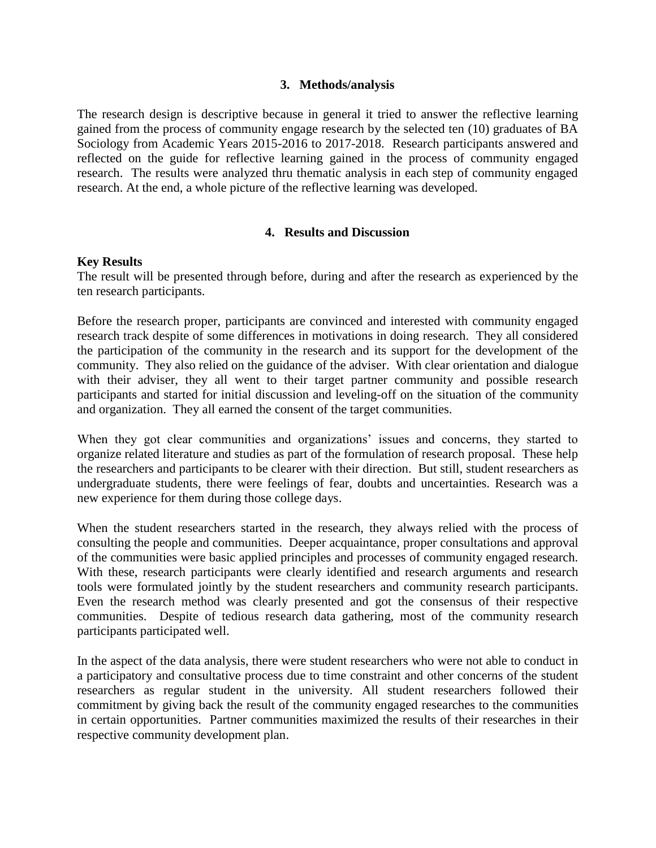#### **3. Methods/analysis**

The research design is descriptive because in general it tried to answer the reflective learning gained from the process of community engage research by the selected ten (10) graduates of BA Sociology from Academic Years 2015-2016 to 2017-2018. Research participants answered and reflected on the guide for reflective learning gained in the process of community engaged research. The results were analyzed thru thematic analysis in each step of community engaged research. At the end, a whole picture of the reflective learning was developed.

## **4. Results and Discussion**

### **Key Results**

The result will be presented through before, during and after the research as experienced by the ten research participants.

Before the research proper, participants are convinced and interested with community engaged research track despite of some differences in motivations in doing research. They all considered the participation of the community in the research and its support for the development of the community. They also relied on the guidance of the adviser. With clear orientation and dialogue with their adviser, they all went to their target partner community and possible research participants and started for initial discussion and leveling-off on the situation of the community and organization. They all earned the consent of the target communities.

When they got clear communities and organizations' issues and concerns, they started to organize related literature and studies as part of the formulation of research proposal. These help the researchers and participants to be clearer with their direction. But still, student researchers as undergraduate students, there were feelings of fear, doubts and uncertainties. Research was a new experience for them during those college days.

When the student researchers started in the research, they always relied with the process of consulting the people and communities. Deeper acquaintance, proper consultations and approval of the communities were basic applied principles and processes of community engaged research. With these, research participants were clearly identified and research arguments and research tools were formulated jointly by the student researchers and community research participants. Even the research method was clearly presented and got the consensus of their respective communities. Despite of tedious research data gathering, most of the community research participants participated well.

In the aspect of the data analysis, there were student researchers who were not able to conduct in a participatory and consultative process due to time constraint and other concerns of the student researchers as regular student in the university. All student researchers followed their commitment by giving back the result of the community engaged researches to the communities in certain opportunities. Partner communities maximized the results of their researches in their respective community development plan.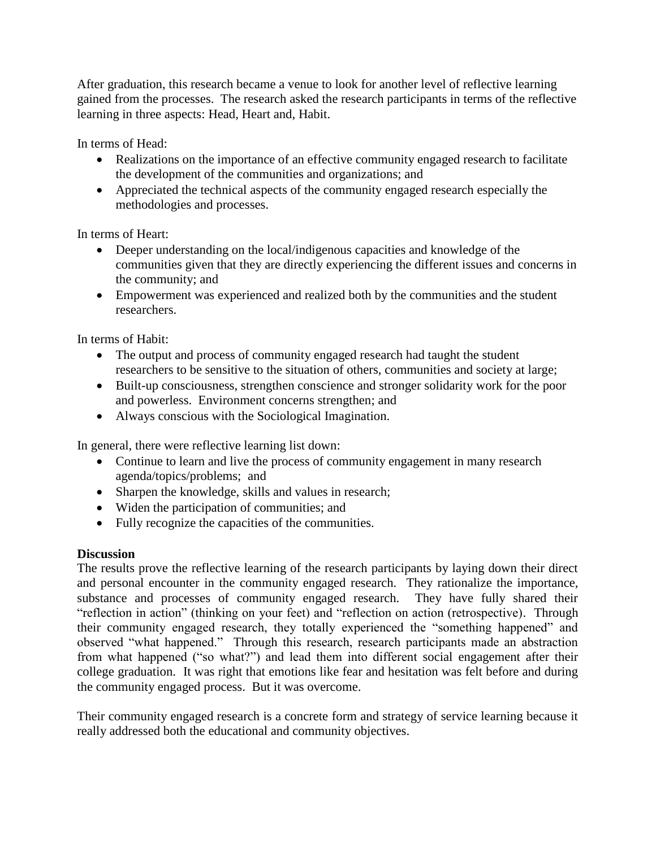After graduation, this research became a venue to look for another level of reflective learning gained from the processes. The research asked the research participants in terms of the reflective learning in three aspects: Head, Heart and, Habit.

In terms of Head:

- Realizations on the importance of an effective community engaged research to facilitate the development of the communities and organizations; and
- Appreciated the technical aspects of the community engaged research especially the methodologies and processes.

In terms of Heart:

- Deeper understanding on the local/indigenous capacities and knowledge of the communities given that they are directly experiencing the different issues and concerns in the community; and
- Empowerment was experienced and realized both by the communities and the student researchers.

In terms of Habit:

- The output and process of community engaged research had taught the student researchers to be sensitive to the situation of others, communities and society at large;
- Built-up consciousness, strengthen conscience and stronger solidarity work for the poor and powerless. Environment concerns strengthen; and
- Always conscious with the Sociological Imagination.

In general, there were reflective learning list down:

- Continue to learn and live the process of community engagement in many research agenda/topics/problems; and
- Sharpen the knowledge, skills and values in research;
- Widen the participation of communities; and
- Fully recognize the capacities of the communities.

## **Discussion**

The results prove the reflective learning of the research participants by laying down their direct and personal encounter in the community engaged research. They rationalize the importance, substance and processes of community engaged research. They have fully shared their "reflection in action" (thinking on your feet) and "reflection on action (retrospective). Through their community engaged research, they totally experienced the "something happened" and observed "what happened." Through this research, research participants made an abstraction from what happened ("so what?") and lead them into different social engagement after their college graduation. It was right that emotions like fear and hesitation was felt before and during the community engaged process. But it was overcome.

Their community engaged research is a concrete form and strategy of service learning because it really addressed both the educational and community objectives.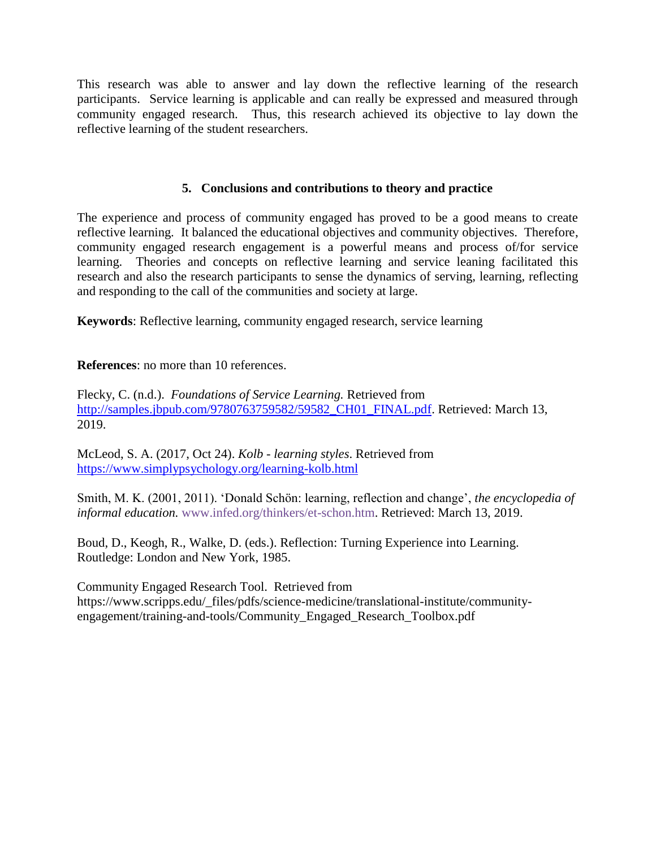This research was able to answer and lay down the reflective learning of the research participants. Service learning is applicable and can really be expressed and measured through community engaged research. Thus, this research achieved its objective to lay down the reflective learning of the student researchers.

## **5. Conclusions and contributions to theory and practice**

The experience and process of community engaged has proved to be a good means to create reflective learning. It balanced the educational objectives and community objectives. Therefore, community engaged research engagement is a powerful means and process of/for service learning. Theories and concepts on reflective learning and service leaning facilitated this research and also the research participants to sense the dynamics of serving, learning, reflecting and responding to the call of the communities and society at large.

**Keywords**: Reflective learning, community engaged research, service learning

**References**: no more than 10 references.

Flecky, C. (n.d.). *Foundations of Service Learning.* Retrieved from [http://samples.jbpub.com/9780763759582/59582\\_CH01\\_FINAL.pdf.](http://samples.jbpub.com/9780763759582/59582_CH01_FINAL.pdf) Retrieved: March 13, 2019.

McLeod, S. A. (2017, Oct 24). *Kolb - learning styles*. Retrieved from <https://www.simplypsychology.org/learning-kolb.html>

Smith, M. K. (2001, 2011). "Donald Schön: learning, reflection and change", *the encyclopedia of informal education.* [www.infed.org/thinkers/et-schon.htm.](http://www.infed.org/thinkers/et-schon.htm) Retrieved: March 13, 2019.

Boud, D., Keogh, R., Walke, D. (eds.). Reflection: Turning Experience into Learning. Routledge: London and New York, 1985.

Community Engaged Research Tool. Retrieved from https://www.scripps.edu/\_files/pdfs/science-medicine/translational-institute/communityengagement/training-and-tools/Community\_Engaged\_Research\_Toolbox.pdf